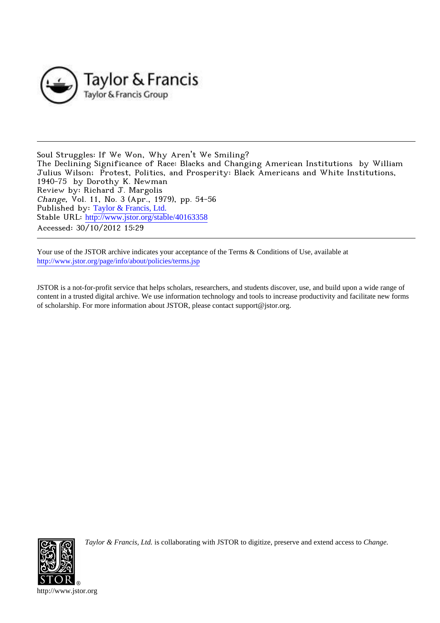

Soul Struggles: If We Won, Why Aren't We Smiling? The Declining Significance of Race: Blacks and Changing American Institutions by William Julius Wilson; Protest, Politics, and Prosperity: Black Americans and White Institutions, 1940-75 by Dorothy K. Newman Review by: Richard J. Margolis Change, Vol. 11, No. 3 (Apr., 1979), pp. 54-56 Published by: [Taylor & Francis, Ltd.](http://www.jstor.org/action/showPublisher?publisherCode=taylorfrancis) Stable URL: http://www.jstor.org/stable/40163358 Accessed: 30/10/2012 15:29

Your use of the JSTOR archive indicates your acceptance of the Terms & Conditions of Use, available at <http://www.jstor.org/page/info/about/policies/terms.jsp>

JSTOR is a not-for-profit service that helps scholars, researchers, and students discover, use, and build upon a wide range of content in a trusted digital archive. We use information technology and tools to increase productivity and facilitate new forms of scholarship. For more information about JSTOR, please contact support@jstor.org.



*Taylor & Francis, Ltd.* is collaborating with JSTOR to digitize, preserve and extend access to *Change.*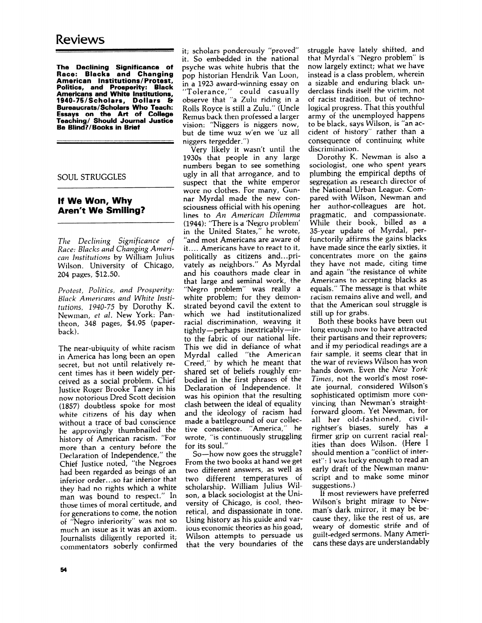**The Declining Significance of Race: Blacks and Changin American Institutions/Protest, Politics, and Prosperity: Black Americans and White Institutions, 1940-75/Scholars, Dollars & Bureaucrats/Scholars Who Teach: Essays on the Art of College Teaching/ Should Journal Justice Be Blind?/ Books in Brief** 

## **SOUL STRUGGLES**

## **If We Won, Why Aren't We Smiling?**

**The Declining Significance of Race: Blacks and Changing American Institutions by William Julius Wilson. University of Chicago, 204 pages, \$12.50.** 

**Protest, Politics, and Prosperity: Black Americans and White Institutions, 1940-75 by Dorothy K. Newman, et al. New York: Pantheon, 348 pages, \$4.95 (paperback).** 

**The near-ubiquity of white racism in America has long been an open secret, but not until relatively recent times has it been widely perceived as a social problem. Chief Justice Roger Brooke Taney in his now notorious Dred Scott decision (1857) doubtless spoke for most white citizens of his day when without a trace of bad conscience he approvingly thumbnailed the history of American racism. "For more than a century before the Declaration of Independence," the Chief Justice noted, "the Negroes had been regarded as beings of an inferior order... so far inferior that they had no rights which a white**  man was bound to respect." In **those times of moral certitude, and for generations to come, the notion of "Negro inferiority" was not so much an issue as it was an axiom. Journalists diligently reported it; commentators soberly confirmed** 

**it; scholars ponderously "proved" it. So embedded in the national psyche was white hubris that the pop historian Hendrik Van Loon, in a 1923 award-winning essay on "Tolerance," could casually observe that "a Zulu riding in a Rolls Royce is still a Zulu." (Uncle Remus back then professed a larger vision: "Niggers is niggers now, but de time wuz w'en we 'uz all niggers tergedder.")** 

**Very likely it wasn't until the 1930s that people in any large numbers began to see something ugly in all that arrogance, and to suspect that the white emperor wore no clothes. For many, Gunnar Myrdal made the new consciousness official with his opening lines to An American Dilemma (1944): "There is a 'Negro problem' in the United States," he wrote, "and most Americans are aware of it.... Americans have to react to it, politically as citizens and... privately as neighbors." As Myrdal and his coauthors made clear in that large and seminal work, the "Negro problem" was really a white problem; for they demonstrated beyond cavil the extent to which we had institutionalized racial discrimination, weaving it tightly- perhaps inextricably- into the fabric of our national life. This we did in defiance of what Myrdal called "the American Creed," by which he meant that shared set of beliefs roughly embodied in the first phrases of the Declaration of Independence. It was his opinion that the resulting clash between the ideal of equality and the ideology of racism had made a battleground of our collective conscience. "America," he wrote, "is continuously struggling for its soul."** 

**So- how now goes the struggle? From the two books at hand we get two different answers, as well as two different temperatures of scholarship. William Julius Wilson, a black sociologist at the University of Chicago, is cool, theoretical, and dispassionate in tone. Using history as his guide and various economic theories as his goad, Wilson attempts to persuade us that the very boundaries of the** 

**struggle have lately shifted, and that Myrdal's "Negro problem" is now largely extinct; what we have instead is a class problem, wherein a sizable and enduring black underclass finds itself the victim, not of racist tradition, but of technological progress. That this youthful army of the unemployed happens to be black, says Wilson, is "an accident of history" rather than a consequence of continuing white discrimination.** 

**Dorothy K. Newman is also a sociologist, one who spent years plumbing the empirical depths of segregation as research director of the National Urban League. Compared with Wilson, Newman and her author-colleagues are hot, pragmatic, and compassionate. While their book, billed as a 35-year update of Myrdal, perfunctorily affirms the gains blacks have made since the early sixties, it concentrates more on the gains they have not made, citing time and again "the resistance of white Americans to accepting blacks as equals." The message is that white racism remains alive and well, and that the American soul struggle is still up for grabs.** 

**Both these books have been out long enough now to have attracted their partisans and their reprovers; and if my periodical readings are a fair sample, it seems clear that in the war of reviews Wilson has won hands down. Even the New York Times, not the world's most roseate journal, considered Wilson's sophisticated optimism more convincing than Newman's straightforward gloom. Yet Newman, for all her old-fashioned, civilrightser's biases, surely has a firmer grip on current racial realities than does Wilson. (Here I should mention a "conflict of interest": I was lucky enough to read an early draft of the Newman manuscript and to make some minor suggestions.)** 

**If most reviewers have preferred Wilson's bright mirage to Newman's dark mirror, it may be because they, like the rest of us, are weary of domestic strife and of guilt-edged sermons. Many Americans these days are understandably**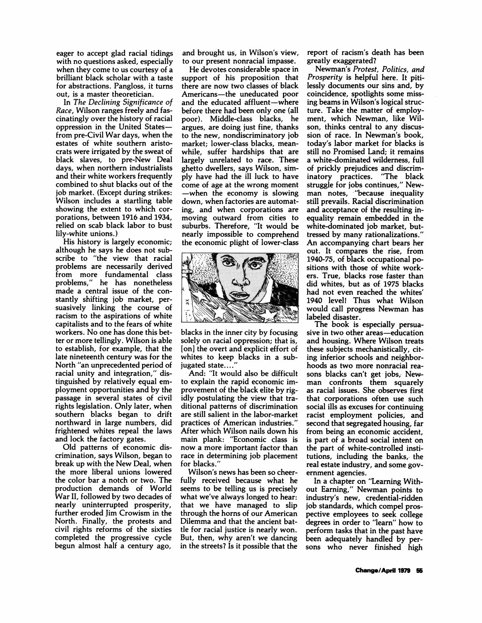**eager to accept glad racial tidings with no questions asked, especially when they come to us courtesy of a brilliant black scholar with a taste for abstractions. Pangloss, it turns out, is a master theoretician.** 

**In The Declining Significance of Race, Wilson ranges freely and fascinatingly over the history of racial oppression in the United Statesfrom pre-Civil War days, when the estates of white southern aristocrats were irrigated by the sweat of black slaves, to pre-New Deal days, when northern industrialists and their white workers frequently combined to shut blacks out of the job market. (Except during strikes: Wilson includes a startling table showing the extent to which corporations, between 1916 and 1934, relied on scab black labor to bust lily-white unions.)** 

**His history is largely economic; although he says he does not subscribe to "the view that racial problems are necessarily derived from more fundamental class problems," he has nonetheless made a central issue of the constantly shifting job market, persuasively linking the course of racism to the aspirations of white capitalists and to the fears of white workers. No one has done this better or more tellingly. Wilson is able to establish, for example, that the late nineteenth century was for the North "an unprecedented period of racial unity and integration," distinguished by relatively equal employment opportunities and by the passage in several states of civil rights legislation. Only later, when southern blacks began to drift northward in large numbers, did frightened whites repeal the laws and lock the factory gates.** 

**Old patterns of economic discrimination, says Wilson, began to break up with the New Deal, when the more liberal unions lowered the color bar a notch or two. The production demands of World War II, followed by two decades of nearly uninterrupted prosperity, further eroded Jim Crowism in the North. Finally, the protests and civil rights reforms of the sixties completed the progressive cycle begun almost half a century ago,** 

**and brought us, in Wilson's view, to our present nonracial impasse.** 

**He devotes considerable space in support of his proposition that there are now two classes of black Americans- the uneducated poor and the educated affluent- where before there had been only one (all poor). Middle-class blacks, he argues, are doing just fine, thanks to the new, nondiscriminatory job market; lower-class blacks, meanwhile, suffer hardships that are largely unrelated to race. These ghetto dwellers, says Wilson, simply have had the ill luck to have come of age at the wrong moment -when the economy is slowing down, when factories are automating, and when corporations are moving outward from cities to suburbs. Therefore, "It would be nearly impossible to comprehend the economic plight of lower-class** 



**blacks in the inner city by focusing solely on racial oppression; that is, [on] the overt and explicit effort of whites to keep blacks in a sub**iugated state....

**And: "It would also be difficult to explain the rapid economic improvement of the black elite by rigidly postulating the view that traditional patterns of discrimination are still salient in the labor-market practices of American industries." After which Wilson nails down his main plank: "Economic class is now a more important factor than race in determining job placement for blacks."** 

**Wilson's news has been so cheerfully received because what he seems to be telling us is precisely what we've always longed to hear: that we have managed to slip through the horns of our American Dilemma and that the ancient battle for racial justice is nearly won. But, then, why aren't we dancing in the streets? Is it possible that the** 

**report of racism's death has been greatly exaggerated?** 

**Newman's Protest, Politics, and Prosperity is helpful here. It pitilessly documents our sins and, by coincidence, spotlights some missing beams in Wilson's logical structure. Take the matter of employment, which Newman, like Wilson, thinks central to any discussion of race. In Newman's book, today's labor market for blacks is still no Promised Land; it remains a white-dominated wilderness, full of prickly prejudices and discrim**inatory practices. **struggle for jobs continues," Newman notes, "because inequality still prevails. Racial discrimination and acceptance of the resulting inequality remain embedded in the white-dominated job market, buttressed by many rationalizations." An accompanying chart bears her out. It compares the rise, from 1940-75, of black occupational positions with those of white workers. True, blacks rose faster than did whites, but as of 1975 blacks had not even reached the whites' 1940 level! Thus what Wilson would call progress Newman has labeled disaster.** 

**The book is especially persua**sive in two other areas-education **and housing. Where Wilson treats these subjects mechanistically, citing inferior schools and neighborhoods as two more nonracial reasons blacks can't get jobs, Newman confronts them squarely as racial issues. She observes first that corporations often use such social ills as excuses for continuing racist employment policies, and second that segregated housing, far from being an economic accident, is part of a broad social intent on the part of white-controlled institutions, including the banks, the real estate industry, and some government agencies.** 

**In a chapter on "Learning Without Earning," Newman points to industry's new, credential-ridden job standards, which compel prospective employees to seek college degrees in order to "learn" how to perform tasks that in the past have been adequately handled by persons who never finished high**